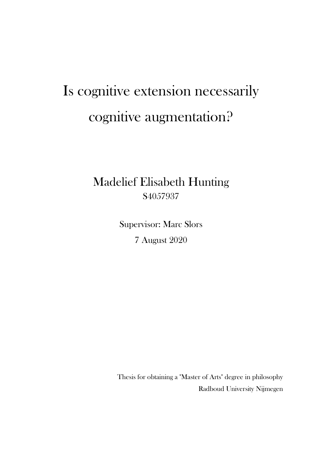## Is cognitive extension necessarily cognitive augmentation?

## Madelief Elisabeth Hunting S4057937

Supervisor: Marc Slors 7 August 2020

Thesis for obtaining a "Master of Arts" degree in philosophy Radboud University Nijmegen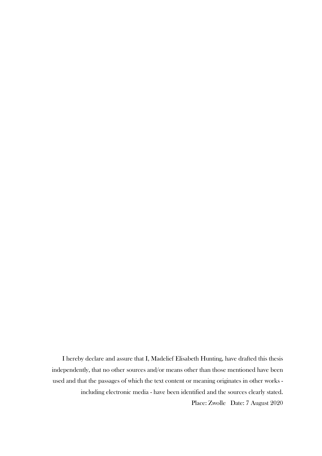I hereby declare and assure that I, Madelief Elisabeth Hunting, have drafted this thesis independently, that no other sources and/or means other than those mentioned have been used and that the passages of which the text content or meaning originates in other works including electronic media - have been identified and the sources clearly stated. Place: Zwolle Date: 7 August 2020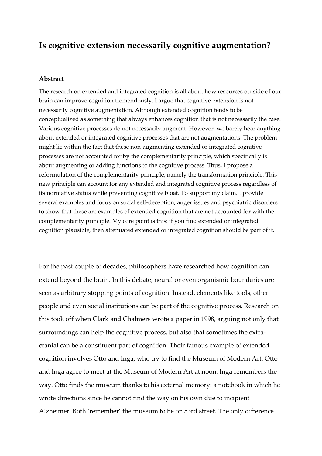### **Is cognitive extension necessarily cognitive augmentation?**

#### **Abstract**

The research on extended and integrated cognition is all about how resources outside of our brain can improve cognition tremendously. I argue that cognitive extension is not necessarily cognitive augmentation. Although extended cognition tends to be conceptualized as something that always enhances cognition that is not necessarily the case. Various cognitive processes do not necessarily augment. However, we barely hear anything about extended or integrated cognitive processes that are not augmentations. The problem might lie within the fact that these non-augmenting extended or integrated cognitive processes are not accounted for by the complementarity principle, which specifically is about augmenting or adding functions to the cognitive process. Thus, I propose a reformulation of the complementarity principle, namely the transformation principle. This new principle can account for any extended and integrated cognitive process regardless of its normative status while preventing cognitive bloat. To support my claim, I provide several examples and focus on social self-deception, anger issues and psychiatric disorders to show that these are examples of extended cognition that are not accounted for with the complementarity principle. My core point is this: if you find extended or integrated cognition plausible, then attenuated extended or integrated cognition should be part of it.

For the past couple of decades, philosophers have researched how cognition can extend beyond the brain. In this debate, neural or even organismic boundaries are seen as arbitrary stopping points of cognition. Instead, elements like tools, other people and even social institutions can be part of the cognitive process. Research on this took off when Clark and Chalmers wrote a paper in 1998, arguing not only that surroundings can help the cognitive process, but also that sometimes the extracranial can be a constituent part of cognition. Their famous example of extended cognition involves Otto and Inga, who try to find the Museum of Modern Art: Otto and Inga agree to meet at the Museum of Modern Art at noon. Inga remembers the way. Otto finds the museum thanks to his external memory: a notebook in which he wrote directions since he cannot find the way on his own due to incipient Alzheimer. Both 'remember' the museum to be on 53rd street. The only difference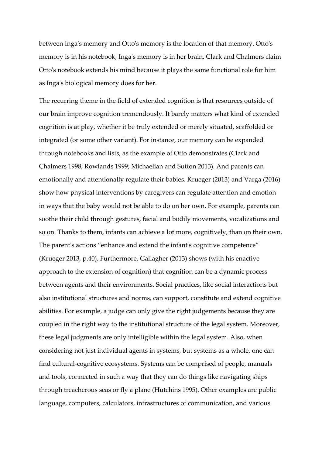between Inga's memory and Otto's memory is the location of that memory. Otto's memory is in his notebook, Inga's memory is in her brain. Clark and Chalmers claim Otto's notebook extends his mind because it plays the same functional role for him as Inga's biological memory does for her.

The recurring theme in the field of extended cognition is that resources outside of our brain improve cognition tremendously. It barely matters what kind of extended cognition is at play, whether it be truly extended or merely situated, scaffolded or integrated (or some other variant). For instance, our memory can be expanded through notebooks and lists, as the example of Otto demonstrates (Clark and Chalmers 1998, Rowlands 1999; Michaelian and Sutton 2013). And parents can emotionally and attentionally regulate their babies. Krueger (2013) and Varga (2016) show how physical interventions by caregivers can regulate attention and emotion in ways that the baby would not be able to do on her own. For example, parents can soothe their child through gestures, facial and bodily movements, vocalizations and so on. Thanks to them, infants can achieve a lot more, cognitively, than on their own. The parent's actions "enhance and extend the infant's cognitive competence" (Krueger 2013, p.40). Furthermore, Gallagher (2013) shows (with his enactive approach to the extension of cognition) that cognition can be a dynamic process between agents and their environments. Social practices, like social interactions but also institutional structures and norms, can support, constitute and extend cognitive abilities. For example, a judge can only give the right judgements because they are coupled in the right way to the institutional structure of the legal system. Moreover, these legal judgments are only intelligible within the legal system. Also, when considering not just individual agents in systems, but systems as a whole, one can find cultural-cognitive ecosystems. Systems can be comprised of people, manuals and tools, connected in such a way that they can do things like navigating ships through treacherous seas or fly a plane (Hutchins 1995). Other examples are public language, computers, calculators, infrastructures of communication, and various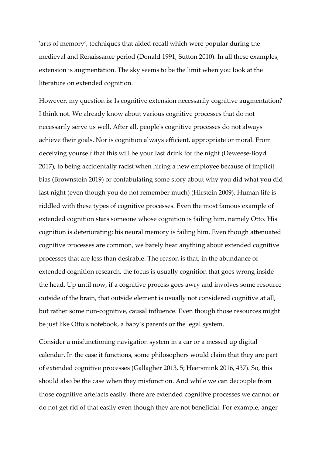'arts of memory', techniques that aided recall which were popular during the medieval and Renaissance period (Donald 1991, Sutton 2010). In all these examples, extension is augmentation. The sky seems to be the limit when you look at the literature on extended cognition.

However, my question is: Is cognitive extension necessarily cognitive augmentation? I think not. We already know about various cognitive processes that do not necessarily serve us well. After all, people's cognitive processes do not always achieve their goals. Nor is cognition always efficient, appropriate or moral. From deceiving yourself that this will be your last drink for the night (Deweese-Boyd 2017), to being accidentally racist when hiring a new employee because of implicit bias (Brownstein 2019) or confabulating some story about why you did what you did last night (even though you do not remember much) (Hirstein 2009). Human life is riddled with these types of cognitive processes. Even the most famous example of extended cognition stars someone whose cognition is failing him, namely Otto. His cognition is deteriorating; his neural memory is failing him. Even though attenuated cognitive processes are common, we barely hear anything about extended cognitive processes that are less than desirable. The reason is that, in the abundance of extended cognition research, the focus is usually cognition that goes wrong inside the head. Up until now, if a cognitive process goes awry and involves some resource outside of the brain, that outside element is usually not considered cognitive at all, but rather some non-cognitive, causal influence. Even though those resources might be just like Otto's notebook, a baby's parents or the legal system.

Consider a misfunctioning navigation system in a car or a messed up digital calendar. In the case it functions, some philosophers would claim that they are part of extended cognitive processes (Gallagher 2013, 5; Heersmink 2016, 437). So, this should also be the case when they misfunction. And while we can decouple from those cognitive artefacts easily, there are extended cognitive processes we cannot or do not get rid of that easily even though they are not beneficial. For example, anger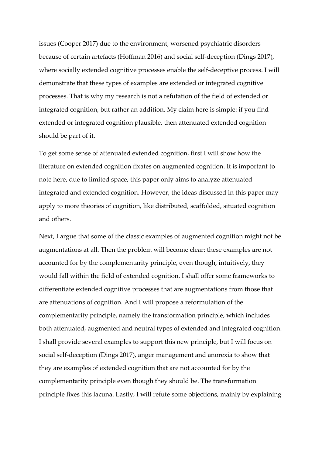issues (Cooper 2017) due to the environment, worsened psychiatric disorders because of certain artefacts (Hoffman 2016) and social self-deception (Dings 2017), where socially extended cognitive processes enable the self-deceptive process. I will demonstrate that these types of examples are extended or integrated cognitive processes. That is why my research is not a refutation of the field of extended or integrated cognition, but rather an addition. My claim here is simple: if you find extended or integrated cognition plausible, then attenuated extended cognition should be part of it.

To get some sense of attenuated extended cognition, first I will show how the literature on extended cognition fixates on augmented cognition. It is important to note here, due to limited space, this paper only aims to analyze attenuated integrated and extended cognition. However, the ideas discussed in this paper may apply to more theories of cognition, like distributed, scaffolded, situated cognition and others.

Next, I argue that some of the classic examples of augmented cognition might not be augmentations at all. Then the problem will become clear: these examples are not accounted for by the complementarity principle, even though, intuitively, they would fall within the field of extended cognition. I shall offer some frameworks to differentiate extended cognitive processes that are augmentations from those that are attenuations of cognition. And I will propose a reformulation of the complementarity principle, namely the transformation principle, which includes both attenuated, augmented and neutral types of extended and integrated cognition. I shall provide several examples to support this new principle, but I will focus on social self-deception (Dings 2017), anger management and anorexia to show that they are examples of extended cognition that are not accounted for by the complementarity principle even though they should be. The transformation principle fixes this lacuna. Lastly, I will refute some objections, mainly by explaining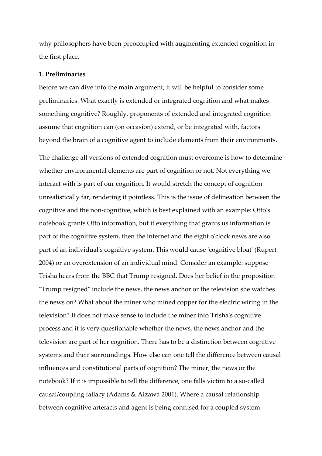why philosophers have been preoccupied with augmenting extended cognition in the first place.

#### **1. Preliminaries**

Before we can dive into the main argument, it will be helpful to consider some preliminaries. What exactly is extended or integrated cognition and what makes something cognitive? Roughly, proponents of extended and integrated cognition assume that cognition can (on occasion) extend, or be integrated with, factors beyond the brain of a cognitive agent to include elements from their environments.

The challenge all versions of extended cognition must overcome is how to determine whether environmental elements are part of cognition or not. Not everything we interact with is part of our cognition. It would stretch the concept of cognition unrealistically far, rendering it pointless. This is the issue of delineation between the cognitive and the non-cognitive, which is best explained with an example: Otto's notebook grants Otto information, but if everything that grants us information is part of the cognitive system, then the internet and the eight o'clock news are also part of an individual's cognitive system. This would cause 'cognitive bloat' (Rupert 2004) or an overextension of an individual mind. Consider an example: suppose Trisha hears from the BBC that Trump resigned. Does her belief in the proposition "Trump resigned" include the news, the news anchor or the television she watches the news on? What about the miner who mined copper for the electric wiring in the television? It does not make sense to include the miner into Trisha's cognitive process and it is very questionable whether the news, the news anchor and the television are part of her cognition. There has to be a distinction between cognitive systems and their surroundings. How else can one tell the difference between causal influences and constitutional parts of cognition? The miner, the news or the notebook? If it is impossible to tell the difference, one falls victim to a so-called causal/coupling fallacy (Adams & Aizawa 2001). Where a causal relationship between cognitive artefacts and agent is being confused for a coupled system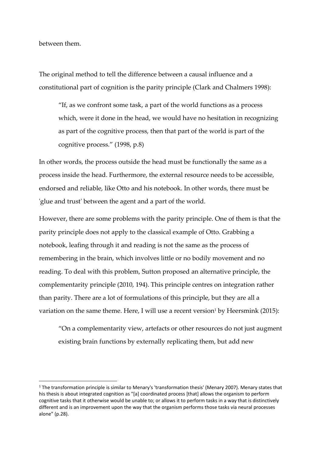between them.

The original method to tell the difference between a causal influence and a constitutional part of cognition is the parity principle (Clark and Chalmers 1998):

"If, as we confront some task, a part of the world functions as a process which, were it done in the head, we would have no hesitation in recognizing as part of the cognitive process, then that part of the world is part of the cognitive process." (1998, p.8)

In other words, the process outside the head must be functionally the same as a process inside the head. Furthermore, the external resource needs to be accessible, endorsed and reliable, like Otto and his notebook. In other words, there must be 'glue and trust' between the agent and a part of the world.

However, there are some problems with the parity principle. One of them is that the parity principle does not apply to the classical example of Otto. Grabbing a notebook, leafing through it and reading is not the same as the process of remembering in the brain, which involves little or no bodily movement and no reading. To deal with this problem, Sutton proposed an alternative principle, the complementarity principle (2010, 194). This principle centres on integration rather than parity. There are a lot of formulations of this principle, but they are all a variation on the same theme. Here, I will use a recent version<sup>1</sup> by Heersmink (2015):

"On a complementarity view, artefacts or other resources do not just augment existing brain functions by externally replicating them, but add new

<sup>&</sup>lt;sup>1</sup> The transformation principle is similar to Menary's 'transformation thesis' (Menary 2007). Menary states that his thesis is about integrated cognition as "[a] coordinated process [that] allows the organism to perform cognitive tasks that it otherwise would be unable to; or allows it to perform tasks in a way that is distinctively different and is an improvement upon the way that the organism performs those tasks via neural processes alone" (p.28).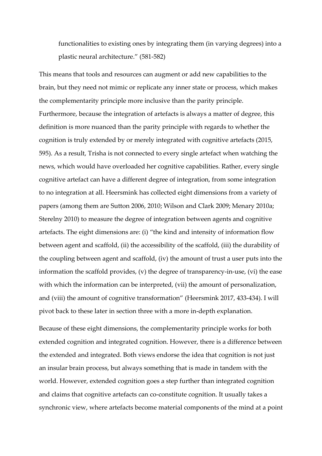functionalities to existing ones by integrating them (in varying degrees) into a plastic neural architecture." (581-582)

This means that tools and resources can augment or add new capabilities to the brain, but they need not mimic or replicate any inner state or process, which makes the complementarity principle more inclusive than the parity principle. Furthermore, because the integration of artefacts is always a matter of degree, this definition is more nuanced than the parity principle with regards to whether the cognition is truly extended by or merely integrated with cognitive artefacts (2015, 595). As a result, Trisha is not connected to every single artefact when watching the news, which would have overloaded her cognitive capabilities. Rather, every single cognitive artefact can have a different degree of integration, from some integration to no integration at all. Heersmink has collected eight dimensions from a variety of papers (among them are Sutton 2006, 2010; Wilson and Clark 2009; Menary 2010a; Sterelny 2010) to measure the degree of integration between agents and cognitive artefacts. The eight dimensions are: (i) "the kind and intensity of information flow between agent and scaffold, (ii) the accessibility of the scaffold, (iii) the durability of the coupling between agent and scaffold, (iv) the amount of trust a user puts into the information the scaffold provides, (v) the degree of transparency-in-use, (vi) the ease with which the information can be interpreted, (vii) the amount of personalization, and (viii) the amount of cognitive transformation" (Heersmink 2017, 433-434). I will pivot back to these later in section three with a more in-depth explanation.

Because of these eight dimensions, the complementarity principle works for both extended cognition and integrated cognition. However, there is a difference between the extended and integrated. Both views endorse the idea that cognition is not just an insular brain process, but always something that is made in tandem with the world. However, extended cognition goes a step further than integrated cognition and claims that cognitive artefacts can co-constitute cognition. It usually takes a synchronic view, where artefacts become material components of the mind at a point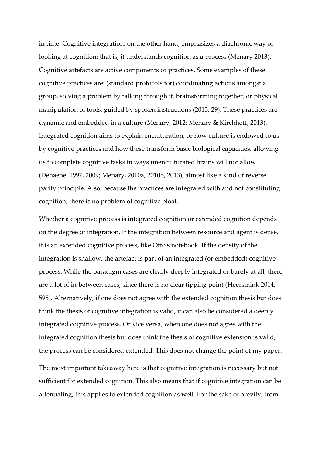in time. Cognitive integration, on the other hand, emphasizes a diachronic way of looking at cognition; that is, it understands cognition as a process (Menary 2013). Cognitive artefacts are active components or practices. Some examples of these cognitive practices are: (standard protocols for) coordinating actions amongst a group, solving a problem by talking through it, brainstorming together, or physical manipulation of tools, guided by spoken instructions (2013, 29). These practices are dynamic and embedded in a culture (Menary, 2012; Menary & Kirchhoff, 2013). Integrated cognition aims to explain enculturation, or how culture is endowed to us by cognitive practices and how these transform basic biological capacities, allowing us to complete cognitive tasks in ways unenculturated brains will not allow (Dehaene, 1997, 2009; Menary, 2010a, 2010b, 2013), almost like a kind of reverse parity principle. Also, because the practices are integrated with and not constituting cognition, there is no problem of cognitive bloat.

Whether a cognitive process is integrated cognition or extended cognition depends on the degree of integration. If the integration between resource and agent is dense, it is an extended cognitive process, like Otto's notebook. If the density of the integration is shallow, the artefact is part of an integrated (or embedded) cognitive process. While the paradigm cases are clearly deeply integrated or barely at all, there are a lot of in-between cases, since there is no clear tipping point (Heersmink 2014, 595). Alternatively, if one does not agree with the extended cognition thesis but does think the thesis of cognitive integration is valid, it can also be considered a deeply integrated cognitive process. Or vice versa, when one does not agree with the integrated cognition thesis but does think the thesis of cognitive extension is valid, the process can be considered extended. This does not change the point of my paper.

The most important takeaway here is that cognitive integration is necessary but not sufficient for extended cognition. This also means that if cognitive integration can be attenuating, this applies to extended cognition as well. For the sake of brevity, from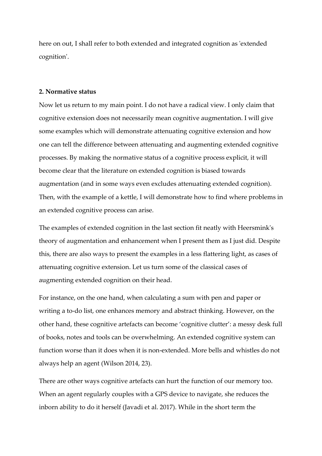here on out, I shall refer to both extended and integrated cognition as 'extended cognition'.

#### **2. Normative status**

Now let us return to my main point. I do not have a radical view. I only claim that cognitive extension does not necessarily mean cognitive augmentation. I will give some examples which will demonstrate attenuating cognitive extension and how one can tell the difference between attenuating and augmenting extended cognitive processes. By making the normative status of a cognitive process explicit, it will become clear that the literature on extended cognition is biased towards augmentation (and in some ways even excludes attenuating extended cognition). Then, with the example of a kettle, I will demonstrate how to find where problems in an extended cognitive process can arise.

The examples of extended cognition in the last section fit neatly with Heersmink's theory of augmentation and enhancement when I present them as I just did. Despite this, there are also ways to present the examples in a less flattering light, as cases of attenuating cognitive extension. Let us turn some of the classical cases of augmenting extended cognition on their head.

For instance, on the one hand, when calculating a sum with pen and paper or writing a to-do list, one enhances memory and abstract thinking. However, on the other hand, these cognitive artefacts can become 'cognitive clutter': a messy desk full of books, notes and tools can be overwhelming. An extended cognitive system can function worse than it does when it is non-extended. More bells and whistles do not always help an agent (Wilson 2014, 23).

There are other ways cognitive artefacts can hurt the function of our memory too. When an agent regularly couples with a GPS device to navigate, she reduces the inborn ability to do it herself (Javadi et al. 2017). While in the short term the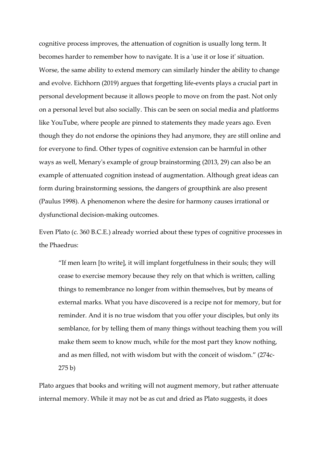cognitive process improves, the attenuation of cognition is usually long term. It becomes harder to remember how to navigate. It is a 'use it or lose it' situation. Worse, the same ability to extend memory can similarly hinder the ability to change and evolve. Eichhorn (2019) argues that forgetting life-events plays a crucial part in personal development because it allows people to move on from the past. Not only on a personal level but also socially. This can be seen on social media and platforms like YouTube, where people are pinned to statements they made years ago. Even though they do not endorse the opinions they had anymore, they are still online and for everyone to find. Other types of cognitive extension can be harmful in other ways as well, Menary's example of group brainstorming (2013, 29) can also be an example of attenuated cognition instead of augmentation. Although great ideas can form during brainstorming sessions, the dangers of groupthink are also present (Paulus 1998). A phenomenon where the desire for harmony causes irrational or dysfunctional decision-making outcomes.

Even Plato (c. 360 B.C.E.) already worried about these types of cognitive processes in the Phaedrus:

"If men learn [to write], it will implant forgetfulness in their souls; they will cease to exercise memory because they rely on that which is written, calling things to remembrance no longer from within themselves, but by means of external marks. What you have discovered is a recipe not for memory, but for reminder. And it is no true wisdom that you offer your disciples, but only its semblance, for by telling them of many things without teaching them you will make them seem to know much, while for the most part they know nothing, and as men filled, not with wisdom but with the conceit of wisdom." (274c-275 b)

Plato argues that books and writing will not augment memory, but rather attenuate internal memory. While it may not be as cut and dried as Plato suggests, it does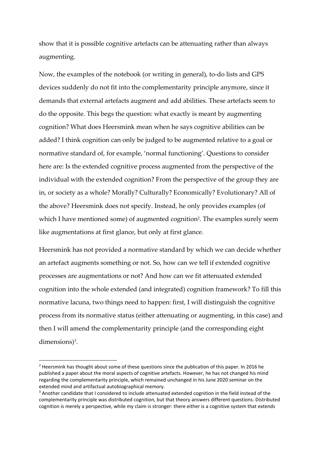show that it is possible cognitive artefacts can be attenuating rather than always augmenting.

Now, the examples of the notebook (or writing in general), to-do lists and GPS devices suddenly do not fit into the complementarity principle anymore, since it demands that external artefacts augment and add abilities. These artefacts seem to do the opposite. This begs the question: what exactly is meant by augmenting cognition? What does Heersmink mean when he says cognitive abilities can be added? I think cognition can only be judged to be augmented relative to a goal or normative standard of, for example, 'normal functioning'. Questions to consider here are: Is the extended cognitive process augmented from the perspective of the individual with the extended cognition? From the perspective of the group they are in, or society as a whole? Morally? Culturally? Economically? Evolutionary? All of the above? Heersmink does not specify. Instead, he only provides examples (of which I have mentioned some) of augmented cognition<sup>2</sup>. The examples surely seem like augmentations at first glance, but only at first glance.

Heersmink has not provided a normative standard by which we can decide whether an artefact augments something or not. So, how can we tell if extended cognitive processes are augmentations or not? And how can we fit attenuated extended cognition into the whole extended (and integrated) cognition framework? To fill this normative lacuna, two things need to happen: first, I will distinguish the cognitive process from its normative status (either attenuating or augmenting, in this case) and then I will amend the complementarity principle (and the corresponding eight dimensions)<sup>3</sup>.

 $2$  Heersmink has thought about some of these questions since the publication of this paper. In 2016 he published a paper about the moral aspects of cognitive artefacts. However, he has not changed his mind regarding the complementarity principle, which remained unchanged in his June 2020 seminar on the extended mind and artifactual autobiographical memory.

<sup>&</sup>lt;sup>3</sup> Another candidate that I considered to include attenuated extended cognition in the field instead of the complementarity principle was distributed cognition, but that theory answers different questions. Distributed cognition is merely a perspective, while my claim is stronger: there either is a cognitive system that extends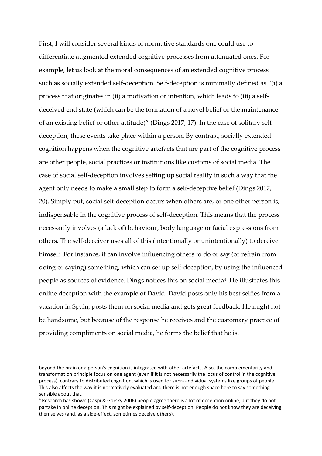First, I will consider several kinds of normative standards one could use to differentiate augmented extended cognitive processes from attenuated ones. For example, let us look at the moral consequences of an extended cognitive process such as socially extended self-deception. Self-deception is minimally defined as "(i) a process that originates in (ii) a motivation or intention, which leads to (iii) a selfdeceived end state (which can be the formation of a novel belief or the maintenance of an existing belief or other attitude)" (Dings 2017, 17). In the case of solitary selfdeception, these events take place within a person. By contrast, socially extended cognition happens when the cognitive artefacts that are part of the cognitive process are other people, social practices or institutions like customs of social media. The case of social self-deception involves setting up social reality in such a way that the agent only needs to make a small step to form a self-deceptive belief (Dings 2017, 20). Simply put, social self-deception occurs when others are, or one other person is, indispensable in the cognitive process of self-deception. This means that the process necessarily involves (a lack of) behaviour, body language or facial expressions from others. The self-deceiver uses all of this (intentionally or unintentionally) to deceive himself. For instance, it can involve influencing others to do or say (or refrain from doing or saying) something, which can set up self-deception, by using the influenced people as sources of evidence. Dings notices this on social media<sup>4</sup>. He illustrates this online deception with the example of David. David posts only his best selfies from a vacation in Spain, posts them on social media and gets great feedback. He might not be handsome, but because of the response he receives and the customary practice of providing compliments on social media, he forms the belief that he is.

beyond the brain or a person's cognition is integrated with other artefacts. Also, the complementarity and transformation principle focus on one agent (even if it is not necessarily the locus of control in the cognitive process), contrary to distributed cognition, which is used for supra-individual systems like groups of people. This also affects the way it is normatively evaluated and there is not enough space here to say something sensible about that.

<sup>4</sup> Research has shown (Caspi & Gorsky 2006) people agree there is a lot of deception online, but they do not partake in online deception. This might be explained by self-deception. People do not know they are deceiving themselves (and, as a side-effect, sometimes deceive others).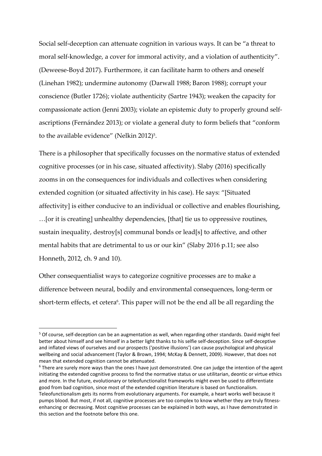Social self-deception can attenuate cognition in various ways. It can be "a threat to moral self-knowledge, a cover for immoral activity, and a violation of authenticity". (Deweese-Boyd 2017). Furthermore, it can facilitate harm to others and oneself (Linehan 1982); undermine autonomy (Darwall 1988; Baron 1988); corrupt your conscience (Butler 1726); violate authenticity (Sartre 1943); weaken the capacity for compassionate action (Jenni 2003); violate an epistemic duty to properly ground selfascriptions (Fernández 2013); or violate a general duty to form beliefs that "conform to the available evidence" (Nelkin 2012) $5$ .

There is a philosopher that specifically focusses on the normative status of extended cognitive processes (or in his case, situated affectivity). Slaby (2016) specifically zooms in on the consequences for individuals and collectives when considering extended cognition (or situated affectivity in his case). He says: "[Situated affectivity] is either conducive to an individual or collective and enables flourishing, …[or it is creating] unhealthy dependencies, [that] tie us to oppressive routines, sustain inequality, destroy[s] communal bonds or lead[s] to affective, and other mental habits that are detrimental to us or our kin" (Slaby 2016 p.11; see also Honneth, 2012, ch. 9 and 10).

Other consequentialist ways to categorize cognitive processes are to make a difference between neural, bodily and environmental consequences, long-term or short-term effects, et cetera<sup>6</sup>. This paper will not be the end all be all regarding the

<sup>5</sup> Of course, self-deception can be an augmentation as well, when regarding other standards. David might feel better about himself and see himself in a better light thanks to his selfie self-deception. Since self-deceptive and inflated views of ourselves and our prospects ('positive illusions') can cause psychological and physical wellbeing and social advancement (Taylor & Brown, 1994; McKay & Dennett, 2009). However, that does not mean that extended cognition cannot be attenuated.

<sup>&</sup>lt;sup>6</sup> There are surely more ways than the ones I have just demonstrated. One can judge the intention of the agent initiating the extended cognitive process to find the normative status or use utilitarian, deontic or virtue ethics and more. In the future, evolutionary or teleofunctionalist frameworks might even be used to differentiate good from bad cognition, since most of the extended cognition literature is based on functionalism. Teleofunctionalism gets its norms from evolutionary arguments. For example, a heart works well because it pumps blood. But most, if not all, cognitive processes are too complex to know whether they are truly fitnessenhancing or decreasing. Most cognitive processes can be explained in both ways, as I have demonstrated in this section and the footnote before this one.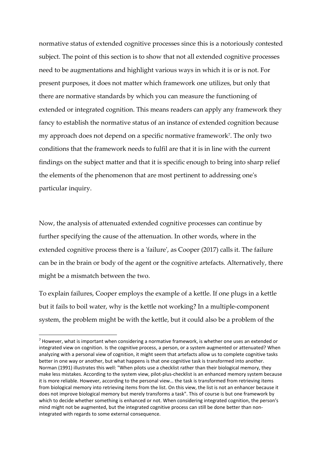normative status of extended cognitive processes since this is a notoriously contested subject. The point of this section is to show that not all extended cognitive processes need to be augmentations and highlight various ways in which it is or is not. For present purposes, it does not matter which framework one utilizes, but only that there are normative standards by which you can measure the functioning of extended or integrated cognition. This means readers can apply any framework they fancy to establish the normative status of an instance of extended cognition because my approach does not depend on a specific normative framework<sup>7</sup> . The only two conditions that the framework needs to fulfil are that it is in line with the current findings on the subject matter and that it is specific enough to bring into sharp relief the elements of the phenomenon that are most pertinent to addressing one's particular inquiry.

Now, the analysis of attenuated extended cognitive processes can continue by further specifying the cause of the attenuation. In other words, where in the extended cognitive process there is a 'failure', as Cooper (2017) calls it. The failure can be in the brain or body of the agent or the cognitive artefacts. Alternatively, there might be a mismatch between the two.

To explain failures, Cooper employs the example of a kettle. If one plugs in a kettle but it fails to boil water, why is the kettle not working? In a multiple-component system, the problem might be with the kettle, but it could also be a problem of the

 $7$  However, what is important when considering a normative framework, is whether one uses an extended or integrated view on cognition. Is the cognitive process, a person, or a system augmented or attenuated? When analyzing with a personal view of cognition, it might seem that artefacts allow us to complete cognitive tasks better in one way or another, but what happens is that one cognitive task is transformed into another. Norman (1991) illustrates this well: "When pilots use a checklist rather than their biological memory, they make less mistakes. According to the system view, pilot-plus-checklist is an enhanced memory system because it is more reliable. However, according to the personal view… the task is transformed from retrieving items from biological memory into retrieving items from the list. On this view, the list is not an enhancer because it does not improve biological memory but merely transforms a task". This of course is but one framework by which to decide whether something is enhanced or not. When considering integrated cognition, the person's mind might not be augmented, but the integrated cognitive process can still be done better than nonintegrated with regards to some external consequence.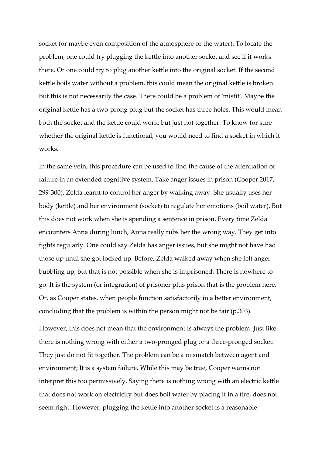socket (or maybe even composition of the atmosphere or the water). To locate the problem, one could try plugging the kettle into another socket and see if it works there. Or one could try to plug another kettle into the original socket. If the second kettle boils water without a problem, this could mean the original kettle is broken. But this is not necessarily the case. There could be a problem of 'misfit'. Maybe the original kettle has a two-prong plug but the socket has three holes. This would mean both the socket and the kettle could work, but just not together. To know for sure whether the original kettle is functional, you would need to find a socket in which it works.

In the same vein, this procedure can be used to find the cause of the attenuation or failure in an extended cognitive system. Take anger issues in prison (Cooper 2017, 299-300). Zelda learnt to control her anger by walking away. She usually uses her body (kettle) and her environment (socket) to regulate her emotions (boil water). But this does not work when she is spending a sentence in prison. Every time Zelda encounters Anna during lunch, Anna really rubs her the wrong way. They get into fights regularly. One could say Zelda has anger issues, but she might not have had those up until she got locked up. Before, Zelda walked away when she felt anger bubbling up, but that is not possible when she is imprisoned. There is nowhere to go. It is the system (or integration) of prisoner plus prison that is the problem here. Or, as Cooper states, when people function satisfactorily in a better environment, concluding that the problem is within the person might not be fair (p.303).

However, this does not mean that the environment is always the problem. Just like there is nothing wrong with either a two-pronged plug or a three-pronged socket: They just do not fit together. The problem can be a mismatch between agent and environment; It is a system failure. While this may be true, Cooper warns not interpret this too permissively. Saying there is nothing wrong with an electric kettle that does not work on electricity but does boil water by placing it in a fire, does not seem right. However, plugging the kettle into another socket is a reasonable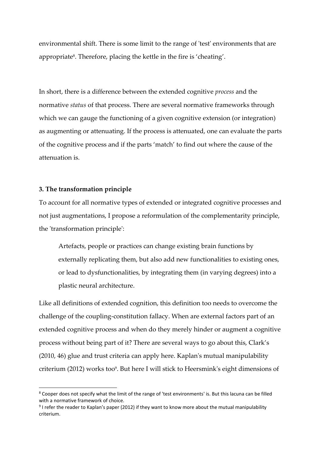environmental shift. There is some limit to the range of 'test' environments that are appropriate<sup>8</sup>. Therefore, placing the kettle in the fire is 'cheating'.

In short, there is a difference between the extended cognitive *process* and the normative *status* of that process. There are several normative frameworks through which we can gauge the functioning of a given cognitive extension (or integration) as augmenting or attenuating. If the process is attenuated, one can evaluate the parts of the cognitive process and if the parts 'match' to find out where the cause of the attenuation is.

#### **3. The transformation principle**

To account for all normative types of extended or integrated cognitive processes and not just augmentations, I propose a reformulation of the complementarity principle, the 'transformation principle':

Artefacts, people or practices can change existing brain functions by externally replicating them, but also add new functionalities to existing ones, or lead to dysfunctionalities, by integrating them (in varying degrees) into a plastic neural architecture.

Like all definitions of extended cognition, this definition too needs to overcome the challenge of the coupling-constitution fallacy. When are external factors part of an extended cognitive process and when do they merely hinder or augment a cognitive process without being part of it? There are several ways to go about this, Clark's (2010, 46) glue and trust criteria can apply here. Kaplan's mutual manipulability criterium (2012) works too<sup>9</sup>. But here I will stick to Heersmink's eight dimensions of

<sup>8</sup> Cooper does not specify what the limit of the range of 'test environments' is. But this lacuna can be filled with a normative framework of choice.

 $9$  I refer the reader to Kaplan's paper (2012) if they want to know more about the mutual manipulability criterium.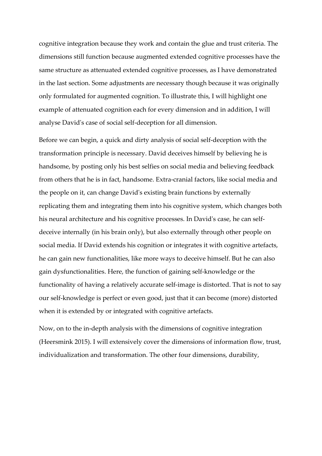cognitive integration because they work and contain the glue and trust criteria. The dimensions still function because augmented extended cognitive processes have the same structure as attenuated extended cognitive processes, as I have demonstrated in the last section. Some adjustments are necessary though because it was originally only formulated for augmented cognition. To illustrate this, I will highlight one example of attenuated cognition each for every dimension and in addition, I will analyse David's case of social self-deception for all dimension.

Before we can begin, a quick and dirty analysis of social self-deception with the transformation principle is necessary. David deceives himself by believing he is handsome, by posting only his best selfies on social media and believing feedback from others that he is in fact, handsome. Extra-cranial factors, like social media and the people on it, can change David's existing brain functions by externally replicating them and integrating them into his cognitive system, which changes both his neural architecture and his cognitive processes. In David's case, he can selfdeceive internally (in his brain only), but also externally through other people on social media. If David extends his cognition or integrates it with cognitive artefacts, he can gain new functionalities, like more ways to deceive himself. But he can also gain dysfunctionalities. Here, the function of gaining self-knowledge or the functionality of having a relatively accurate self-image is distorted. That is not to say our self-knowledge is perfect or even good, just that it can become (more) distorted when it is extended by or integrated with cognitive artefacts.

Now, on to the in-depth analysis with the dimensions of cognitive integration (Heersmink 2015). I will extensively cover the dimensions of information flow, trust, individualization and transformation. The other four dimensions, durability,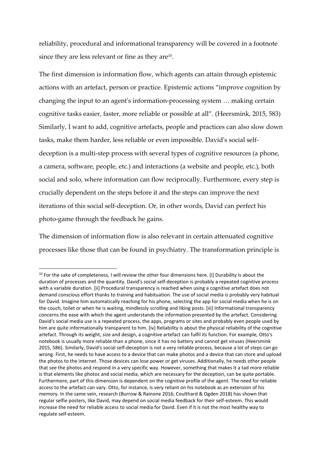reliability, procedural and informational transparency will be covered in a footnote since they are less relevant or fine as they are $^{10}$ .

The first dimension is information flow, which agents can attain through epistemic actions with an artefact, person or practice. Epistemic actions "improve cognition by changing the input to an agent's information-processing system … making certain cognitive tasks easier, faster, more reliable or possible at all". (Heersmink, 2015, 583) Similarly, I want to add, cognitive artefacts, people and practices can also slow down tasks, make them harder, less reliable or even impossible. David's social selfdeception is a multi-step process with several types of cognitive resources (a phone, a camera, software, people, etc.) and interactions (a website and people, etc.), both social and solo, where information can flow reciprocally. Furthermore, every step is crucially dependent on the steps before it and the steps can improve the next iterations of this social self-deception. Or, in other words, David can perfect his photo-game through the feedback he gains.

The dimension of information flow is also relevant in certain attenuated cognitive processes like those that can be found in psychiatry. The transformation principle is

 $10$  For the sake of completeness, I will review the other four dimensions here. [i] Durability is about the duration of processes and the quantity. David's social self-deception is probably a repeated cognitive process with a variable duration. [ii] Procedural transparency is reached when using a cognitive artefact does not demand conscious effort thanks to training and habituation. The use of social media is probably very habitual for David. Imagine him automatically reaching for his phone, selecting the app for social media when he is on the couch, toilet or when he is waiting, mindlessly scrolling and liking posts. [iii] Informational transparency concerns the ease with which the agent understands the information presented by the artefact. Considering David's social media use is a repeated process, the apps, programs or sites and probably even people used by him are quite informationally transparent to him. [iv] Reliability is about the physical reliability of the cognitive artefact. Through its weight, size and design, a cognitive artefact can fulfil its function. For example, Otto's notebook is usually more reliable than a phone, since it has no battery and cannot get viruses (Heersmink 2015, 586). Similarly, David's social self-deception is not a very reliable process, because a lot of steps can go wrong. First, he needs to have access to a device that can make photos and a device that can store and upload the photos to the internet. Those devices can lose power or get viruses. Additionally, he needs other people that see the photos and respond in a very specific way. However, something that makes it a tad more reliable is that elements like photos and social media, which are necessary for the deception, can be quite portable. Furthermore, part of this dimension is dependent on the cognitive profile of the agent. The need for reliable access to the artefact can vary. Otto, for instance, is very reliant on his notebook as an extension of his memory. In the same vein, research (Burrow & Rainone 2016; Coulthard & Ogden 2018) has shown that regular selfie posters, like David, may depend on social media feedback for their self-esteem. This would increase the need for reliable access to social media for David. Even if it is not the most healthy way to regulate self-esteem.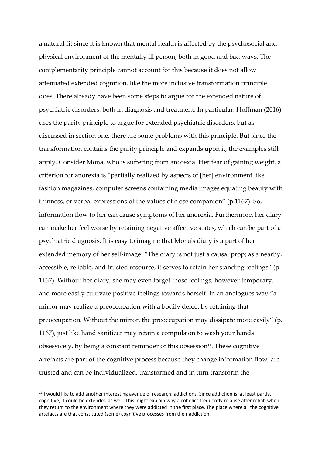a natural fit since it is known that mental health is affected by the psychosocial and physical environment of the mentally ill person, both in good and bad ways. The complementarity principle cannot account for this because it does not allow attenuated extended cognition, like the more inclusive transformation principle does. There already have been some steps to argue for the extended nature of psychiatric disorders: both in diagnosis and treatment. In particular, Hoffman (2016) uses the parity principle to argue for extended psychiatric disorders, but as discussed in section one, there are some problems with this principle. But since the transformation contains the parity principle and expands upon it, the examples still apply. Consider Mona, who is suffering from anorexia. Her fear of gaining weight, a criterion for anorexia is "partially realized by aspects of [her] environment like fashion magazines, computer screens containing media images equating beauty with thinness, or verbal expressions of the values of close companion" (p.1167). So, information flow to her can cause symptoms of her anorexia. Furthermore, her diary can make her feel worse by retaining negative affective states, which can be part of a psychiatric diagnosis. It is easy to imagine that Mona's diary is a part of her extended memory of her self-image: "The diary is not just a causal prop; as a nearby, accessible, reliable, and trusted resource, it serves to retain her standing feelings" (p. 1167). Without her diary, she may even forget those feelings, however temporary, and more easily cultivate positive feelings towards herself. In an analogues way "a mirror may realize a preoccupation with a bodily defect by retaining that preoccupation. Without the mirror, the preoccupation may dissipate more easily" (p. 1167), just like hand sanitizer may retain a compulsion to wash your hands obsessively, by being a constant reminder of this obsession $^{\rm 11}.$  These cognitive artefacts are part of the cognitive process because they change information flow, are trusted and can be individualized, transformed and in turn transform the

<sup>&</sup>lt;sup>11</sup> I would like to add another interesting avenue of research: addictions. Since addiction is, at least partly, cognitive, it could be extended as well. This might explain why alcoholics frequently relapse after rehab when they return to the environment where they were addicted in the first place. The place where all the cognitive artefacts are that constituted (some) cognitive processes from their addiction.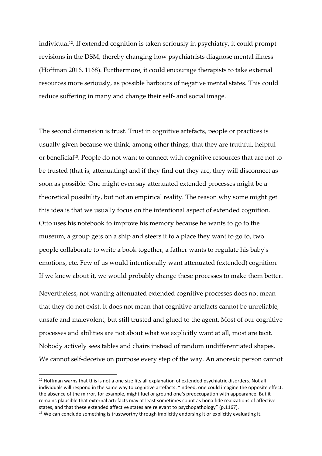individual<sup>12</sup>. If extended cognition is taken seriously in psychiatry, it could prompt revisions in the DSM, thereby changing how psychiatrists diagnose mental illness (Hoffman 2016, 1168). Furthermore, it could encourage therapists to take external resources more seriously, as possible harbours of negative mental states. This could reduce suffering in many and change their self- and social image.

The second dimension is trust. Trust in cognitive artefacts, people or practices is usually given because we think, among other things, that they are truthful, helpful or beneficial<sup>13</sup>. People do not want to connect with cognitive resources that are not to be trusted (that is, attenuating) and if they find out they are, they will disconnect as soon as possible. One might even say attenuated extended processes might be a theoretical possibility, but not an empirical reality. The reason why some might get this idea is that we usually focus on the intentional aspect of extended cognition. Otto uses his notebook to improve his memory because he wants to go to the museum, a group gets on a ship and steers it to a place they want to go to, two people collaborate to write a book together, a father wants to regulate his baby's emotions, etc. Few of us would intentionally want attenuated (extended) cognition. If we knew about it, we would probably change these processes to make them better.

Nevertheless, not wanting attenuated extended cognitive processes does not mean that they do not exist. It does not mean that cognitive artefacts cannot be unreliable, unsafe and malevolent, but still trusted and glued to the agent. Most of our cognitive processes and abilities are not about what we explicitly want at all, most are tacit. Nobody actively sees tables and chairs instead of random undifferentiated shapes. We cannot self-deceive on purpose every step of the way. An anorexic person cannot

<sup>&</sup>lt;sup>12</sup> Hoffman warns that this is not a one size fits all explanation of extended psychiatric disorders. Not all individuals will respond in the same way to cognitive artefacts: "Indeed, one could imagine the opposite effect: the absence of the mirror, for example, might fuel or ground one's preoccupation with appearance. But it remains plausible that external artefacts may at least sometimes count as bona fide realizations of affective states, and that these extended affective states are relevant to psychopathology" (p.1167).

<sup>&</sup>lt;sup>13</sup> We can conclude something is trustworthy through implicitly endorsing it or explicitly evaluating it.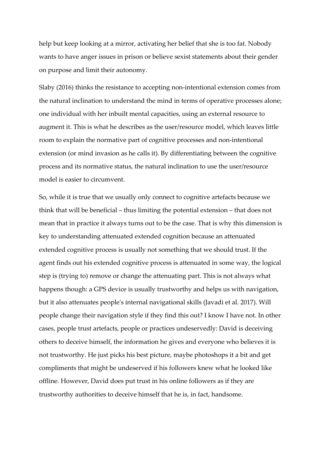help but keep looking at a mirror, activating her belief that she is too fat. Nobody wants to have anger issues in prison or believe sexist statements about their gender on purpose and limit their autonomy.

Slaby (2016) thinks the resistance to accepting non-intentional extension comes from the natural inclination to understand the mind in terms of operative processes alone; one individual with her inbuilt mental capacities, using an external resource to augment it. This is what he describes as the user/resource model, which leaves little room to explain the normative part of cognitive processes and non-intentional extension (or mind invasion as he calls it). By differentiating between the cognitive process and its normative status, the natural inclination to use the user/resource model is easier to circumvent.

So, while it is true that we usually only connect to cognitive artefacts because we think that will be beneficial – thus limiting the potential extension – that does not mean that in practice it always turns out to be the case. That is why this dimension is key to understanding attenuated extended cognition because an attenuated extended cognitive process is usually not something that we should trust. If the agent finds out his extended cognitive process is attenuated in some way, the logical step is (trying to) remove or change the attenuating part. This is not always what happens though: a GPS device is usually trustworthy and helps us with navigation, but it also attenuates people's internal navigational skills (Javadi et al. 2017). Will people change their navigation style if they find this out? I know I have not. In other cases, people trust artefacts, people or practices undeservedly: David is deceiving others to deceive himself, the information he gives and everyone who believes it is not trustworthy. He just picks his best picture, maybe photoshops it a bit and get compliments that might be undeserved if his followers knew what he looked like offline. However, David does put trust in his online followers as if they are trustworthy authorities to deceive himself that he is, in fact, handsome.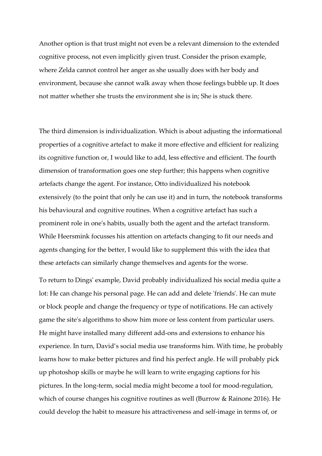Another option is that trust might not even be a relevant dimension to the extended cognitive process, not even implicitly given trust. Consider the prison example, where Zelda cannot control her anger as she usually does with her body and environment, because she cannot walk away when those feelings bubble up. It does not matter whether she trusts the environment she is in; She is stuck there.

The third dimension is individualization. Which is about adjusting the informational properties of a cognitive artefact to make it more effective and efficient for realizing its cognitive function or, I would like to add, less effective and efficient. The fourth dimension of transformation goes one step further; this happens when cognitive artefacts change the agent. For instance, Otto individualized his notebook extensively (to the point that only he can use it) and in turn, the notebook transforms his behavioural and cognitive routines. When a cognitive artefact has such a prominent role in one's habits, usually both the agent and the artefact transform. While Heersmink focusses his attention on artefacts changing to fit our needs and agents changing for the better, I would like to supplement this with the idea that these artefacts can similarly change themselves and agents for the worse.

To return to Dings' example, David probably individualized his social media quite a lot: He can change his personal page. He can add and delete 'friends'. He can mute or block people and change the frequency or type of notifications. He can actively game the site's algorithms to show him more or less content from particular users. He might have installed many different add-ons and extensions to enhance his experience. In turn, David's social media use transforms him. With time, he probably learns how to make better pictures and find his perfect angle. He will probably pick up photoshop skills or maybe he will learn to write engaging captions for his pictures. In the long-term, social media might become a tool for mood-regulation, which of course changes his cognitive routines as well (Burrow & Rainone 2016). He could develop the habit to measure his attractiveness and self-image in terms of, or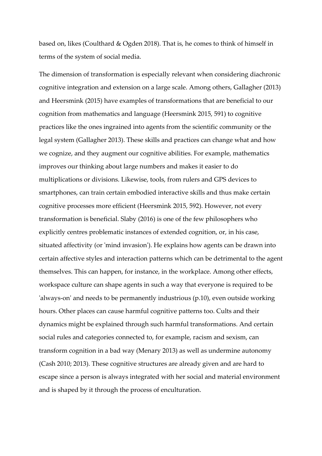based on, likes [\(Coulthard](https://cyberpsychology.eu/about/editorialTeamBioFullProfile/3305) & [Ogden](https://cyberpsychology.eu/about/editorialTeamBioFullProfile/3303) 2018). That is, he comes to think of himself in terms of the system of social media.

The dimension of transformation is especially relevant when considering diachronic cognitive integration and extension on a large scale. Among others, Gallagher (2013) and Heersmink (2015) have examples of transformations that are beneficial to our cognition from mathematics and language (Heersmink 2015, 591) to cognitive practices like the ones ingrained into agents from the scientific community or the legal system (Gallagher 2013). These skills and practices can change what and how we cognize, and they augment our cognitive abilities. For example, mathematics improves our thinking about large numbers and makes it easier to do multiplications or divisions. Likewise, tools, from rulers and GPS devices to smartphones, can train certain embodied interactive skills and thus make certain cognitive processes more efficient (Heersmink 2015, 592). However, not every transformation is beneficial. Slaby (2016) is one of the few philosophers who explicitly centres problematic instances of extended cognition, or, in his case, situated affectivity (or 'mind invasion'). He explains how agents can be drawn into certain affective styles and interaction patterns which can be detrimental to the agent themselves. This can happen, for instance, in the workplace. Among other effects, workspace culture can shape agents in such a way that everyone is required to be 'always-on' and needs to be permanently industrious (p.10), even outside working hours. Other places can cause harmful cognitive patterns too. Cults and their dynamics might be explained through such harmful transformations. And certain social rules and categories connected to, for example, racism and sexism, can transform cognition in a bad way (Menary 2013) as well as undermine autonomy (Cash 2010; 2013). These cognitive structures are already given and are hard to escape since a person is always integrated with her social and material environment and is shaped by it through the process of enculturation.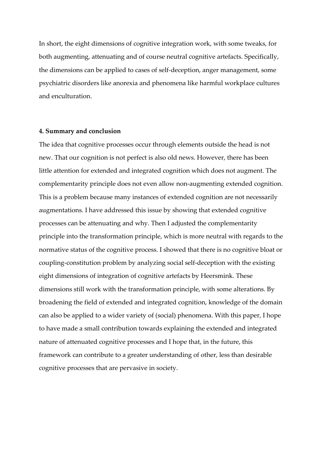In short, the eight dimensions of cognitive integration work, with some tweaks, for both augmenting, attenuating and of course neutral cognitive artefacts. Specifically, the dimensions can be applied to cases of self-deception, anger management, some psychiatric disorders like anorexia and phenomena like harmful workplace cultures and enculturation.

#### **4. Summary and conclusion**

The idea that cognitive processes occur through elements outside the head is not new. That our cognition is not perfect is also old news. However, there has been little attention for extended and integrated cognition which does not augment. The complementarity principle does not even allow non-augmenting extended cognition. This is a problem because many instances of extended cognition are not necessarily augmentations. I have addressed this issue by showing that extended cognitive processes can be attenuating and why. Then I adjusted the complementarity principle into the transformation principle, which is more neutral with regards to the normative status of the cognitive process. I showed that there is no cognitive bloat or coupling-constitution problem by analyzing social self-deception with the existing eight dimensions of integration of cognitive artefacts by Heersmink. These dimensions still work with the transformation principle, with some alterations. By broadening the field of extended and integrated cognition, knowledge of the domain can also be applied to a wider variety of (social) phenomena. With this paper, I hope to have made a small contribution towards explaining the extended and integrated nature of attenuated cognitive processes and I hope that, in the future, this framework can contribute to a greater understanding of other, less than desirable cognitive processes that are pervasive in society.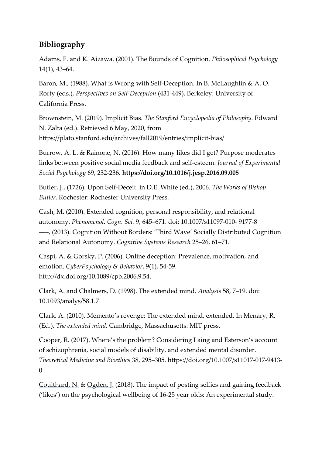## **Bibliography**

Adams, F. and K. Aizawa. (2001). The Bounds of Cognition. *Philosophical Psychology* 14(1), 43–64.

Baron, M., (1988). What is Wrong with Self-Deception. In B. McLaughlin & A. O. Rorty (eds.), *Perspectives on Self-Deception* (431-449). Berkeley: University of California Press.

Brownstein, M. (2019). Implicit Bias. *The Stanford Encyclopedia of Philosophy*. Edward N. Zalta (ed.). Retrieved 6 May, 2020, from https://plato.stanford.edu/archives/fall2019/entries/implicit-bias/

Burrow, A. L. & Rainone, N. (2016). How many likes did I get? Purpose moderates links between positive social media feedback and self-esteem. *Journal of Experimental Social Psychology* 69, 232-236. **<https://doi.org/10.1016/j.jesp.2016.09.005>**

Butler, J., (1726). Upon Self-Deceit. in D.E. White (ed.), 2006. *The Works of Bishop Butler*. Rochester: Rochester University Press.

Cash, M. (2010). Extended cognition, personal responsibility, and relational autonomy. *Phenomenol. Cogn. Sci.* 9, 645–671. doi: 10.1007/s11097-010- 9177-8 –––, (2013). Cognition Without Borders: 'Third Wave' Socially Distributed Cognition and Relational Autonomy. *Cognitive Systems Research* 25–26, 61–71.

Caspi, A. & Gorsky, P. (2006). Online deception: Prevalence, motivation, and emotion. *CyberPsychology & Behavior*, 9(1), 54-59. http://dx.doi.org/10.1089/cpb.2006.9.54.

Clark, A. and Chalmers, D. (1998). The extended mind. *Analysis* 58, 7–19. doi: 10.1093/analys/58.1.7

Clark, A. (2010). Memento's revenge: The extended mind, extended. In Menary, R. (Ed.), *The extended mind*. Cambridge, Massachusetts: MIT press.

Cooper, R. (2017). Where's the problem? Considering Laing and Esterson's account of schizophrenia, social models of disability, and extended mental disorder. *Theoretical Medicine and Bioethics* 38, 295–305. [https://doi.org/10.1007/s11017-017-9413-](https://doi.org/10.1007/s11017-017-9413-0) [0](https://doi.org/10.1007/s11017-017-9413-0)

[Coulthard,](https://cyberpsychology.eu/about/editorialTeamBioFullProfile/3305) N. & [Ogden,](https://cyberpsychology.eu/about/editorialTeamBioFullProfile/3303) J. (2018). The impact of posting selfies and gaining feedback ('likes') on the psychological wellbeing of 16-25 year olds: An experimental study.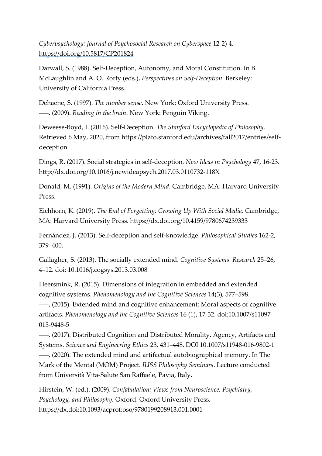*Cyberpsychology: Journal of Psychosocial Research on Cyberspace* 12-2) 4. <https://doi.org/10.5817/CP201824>

Darwall, S. (1988). Self-Deception, Autonomy, and Moral Constitution. In B. McLaughlin and A. O. Rorty (eds.), *Perspectives on Self-Deception.* Berkeley: University of California Press.

Dehaene, S. (1997). *The number sense*. New York: Oxford University Press. –––, (2009). *Reading in the brain*. New York: Penguin Viking.

Deweese-Boyd, I. (2016). Self-Deception. *The Stanford Encyclopedia of Philosophy*. Retrieved 6 May, 2020, from https://plato.stanford.edu/archives/fall2017/entries/selfdeception

Dings, R. (2017). Social strategies in self-deception*. New Ideas in Psychology* 47, 16-23. <http://dx.doi.org/10.1016/j.newideapsych.2017.03.0110732-118X>

Donald, M. (1991). *Origins of the Modern Mind*. Cambridge, MA: Harvard University Press.

Eichhorn, K. (2019). *The End of Forgetting: Growing Up With Social Media*. Cambridge, MA: Harvard University Press. https://dx.doi.org/10.4159/9780674239333

Fernández, J. (2013). Self-deception and self-knowledge. *Philosophical Studies* 162-2, 379–400.

Gallagher, S. (2013). The socially extended mind. *Cognitive Systems. Research* 25–26, 4–12. doi: 10.1016/j.cogsys.2013.03.008

Heersmink, R. (2015). Dimensions of integration in embedded and extended cognitive systems. *Phenomenology and the Cognitive Sciences* 14(3), 577–598.

–––, (2015). Extended mind and cognitive enhancement: Moral aspects of cognitive artifacts. *Phenomenology and the Cognitive Sciences* 16 (1), 17-32. doi:10.1007/s11097- 015-9448-5

–––, (2017). Distributed Cognition and Distributed Morality. Agency, Artifacts and Systems. *Science and Engineering Ethics* 23, 431–448. DOI 10.1007/s11948-016-9802-1 –––, (2020). The extended mind and artifactual autobiographical memory. In The Mark of the Mental (MOM) Project. *IUSS Philosophy Seminars*. Lecture conducted from Università Vita-Salute San Raffaele, Pavia, Italy.

Hirstein, W. (ed.). (2009). *Confabulation: Views from Neuroscience, Psychiatry, Psychology, and Philosophy.* Oxford: Oxford University Press. https://dx.doi:10.1093/acprof:oso/9780199208913.001.0001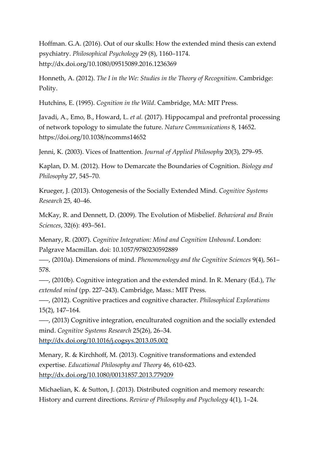Hoffman. G.A. (2016). Out of our skulls: How the extended mind thesis can extend psychiatry. *Philosophical Psychology* 29 (8), 1160–1174. http://dx.doi.org/10.1080/09515089.2016.1236369

Honneth, A. (2012). *The I in the We: Studies in the Theory of Recognition*. Cambridge: Polity.

Hutchins, E. (1995). *Cognition in the Wild*. Cambridge, MA: MIT Press.

Javadi, A., Emo, B., Howard, L. *et al.* (2017). Hippocampal and prefrontal processing of network topology to simulate the future. *Nature Communications* 8, 14652. https://doi.org/10.1038/ncomms14652

Jenni, K. (2003). Vices of Inattention. *Journal of Applied Philosophy* 20(3), 279–95.

Kaplan, D. M. (2012). How to Demarcate the Boundaries of Cognition. *Biology and Philosophy* 27, 545–70.

Krueger, J. (2013). Ontogenesis of the Socially Extended Mind. *Cognitive Systems Research* 25, 40–46.

McKay, R. and Dennett, D. (2009). The Evolution of Misbelief. *Behavioral and Brain Sciences*, 32(6): 493–561.

Menary, R. (2007). *Cognitive Integration: Mind and Cognition Unbound*. London: Palgrave Macmillan. doi: 10.1057/9780230592889

–––, (2010a). Dimensions of mind. *Phenomenology and the Cognitive Sciences* 9(4), 561– 578.

–––, (2010b). Cognitive integration and the extended mind. In R. Menary (Ed.), *The extended mind* (pp. 227–243). Cambridge, Mass.: MIT Press.

–––, (2012). Cognitive practices and cognitive character. *Philosophical Explorations* 15(2), 147–164.

–––, (2013) Cognitive integration, enculturated cognition and the socially extended mind. *Cognitive Systems Research* 25(26), 26–34.

<http://dx.doi.org/10.1016/j.cogsys.2013.05.002>

Menary, R. & Kirchhoff, M. (2013). Cognitive transformations and extended expertise. *Educational Philosophy and Theory* 46, 610-623. <http://dx.doi.org/10.1080/00131857.2013.779209>

Michaelian, K. & Sutton, J. (2013). Distributed cognition and memory research: History and current directions. *Review of Philosophy and Psychology* 4(1), 1–24.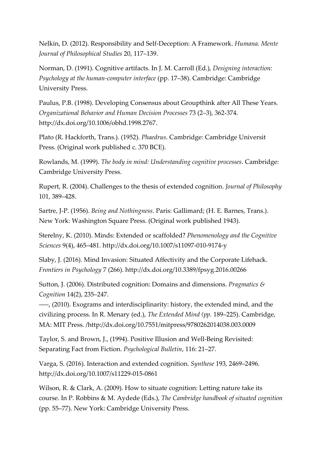Nelkin, D. (2012). Responsibility and Self-Deception: A Framework. *Humana. Mente Journal of Philosophical Studies* 20, 117–139.

Norman, D. (1991). Cognitive artifacts. In J. M. Carroll (Ed.), *Designing interaction: Psychology at the human-computer interface* (pp. 17–38). Cambridge: Cambridge University Press.

Paulus, P.B. (1998). Developing Consensus about Groupthink after All These Years*. Organizational Behavior and Human Decision Processes* 73 (2–3), 362-374. http://dx.doi.org/10.1006/obhd.1998.2767.

Plato (R. Hackforth, Trans.). (1952). *Phaedrus*. Cambridge: Cambridge Universit Press. (Original work published c. 370 BCE).

Rowlands, M. (1999). *The body in mind: Understanding cognitive processes*. Cambridge: Cambridge University Press.

Rupert, R. (2004). Challenges to the thesis of extended cognition. *Journal of Philosophy* 101, 389–428.

Sartre, J-P. (1956). *Being and Nothingness*. Paris: Gallimard; (H. E. Barnes, Trans.). New York: Washington Square Press. (Original work published 1943).

Sterelny, K. (2010). Minds: Extended or scaffolded? *Phenomenology and the Cognitive Sciences* 9(4), 465–481. http://dx.doi.org/10.1007/s11097-010-9174-y

Slaby, J. (2016). Mind Invasion: Situated Affectivity and the Corporate Lifehack. *Frontiers in Psychology* 7 (266). http://dx.doi.org/10.3389/fpsyg.2016.00266

Sutton, J. (2006). Distributed cognition: Domains and dimensions. *Pragmatics & Cognition* 14(2), 235–247.

–––, (2010). Exograms and interdisciplinarity: history, the extended mind, and the civilizing process. In R. Menary (ed.), *The Extended Mind (pp.* 189–225). Cambridge, MA: MIT Press. /http://dx.doi.org/10.7551/mitpress/9780262014038.003.0009

Taylor, S. and Brown, J., (1994). Positive Illusion and Well-Being Revisited: Separating Fact from Fiction. *Psychological Bulletin*, 116: 21–27.

Varga, S. (2016). Interaction and extended cognition. *Synthese* 193, 2469–2496. http://dx.doi.org/10.1007/s11229-015-0861

Wilson, R. & Clark, A. (2009). How to situate cognition: Letting nature take its course. In P. Robbins & M. Aydede (Eds.), *The Cambridge handbook of situated cognition* (pp. 55–77). New York: Cambridge University Press.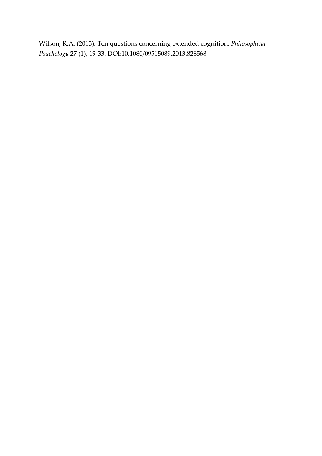Wilson, R.A. (2013). Ten questions concerning extended cognition, *Philosophical Psychology* 27 (1), 19-33. DOI:10.1080/09515089.2013.828568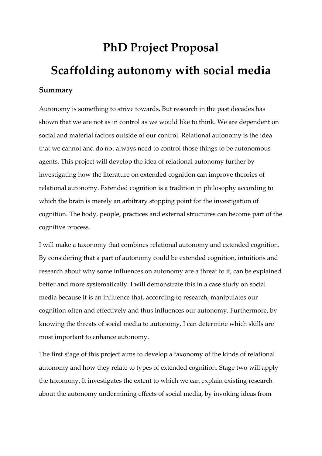# **PhD Project Proposal Scaffolding autonomy with social media**

#### **Summary**

Autonomy is something to strive towards. But research in the past decades has shown that we are not as in control as we would like to think. We are dependent on social and material factors outside of our control. Relational autonomy is the idea that we cannot and do not always need to control those things to be autonomous agents. This project will develop the idea of relational autonomy further by investigating how the literature on extended cognition can improve theories of relational autonomy. Extended cognition is a tradition in philosophy according to which the brain is merely an arbitrary stopping point for the investigation of cognition. The body, people, practices and external structures can become part of the cognitive process.

I will make a taxonomy that combines relational autonomy and extended cognition. By considering that a part of autonomy could be extended cognition, intuitions and research about why some influences on autonomy are a threat to it, can be explained better and more systematically. I will demonstrate this in a case study on social media because it is an influence that, according to research, manipulates our cognition often and effectively and thus influences our autonomy. Furthermore, by knowing the threats of social media to autonomy, I can determine which skills are most important to enhance autonomy.

The first stage of this project aims to develop a taxonomy of the kinds of relational autonomy and how they relate to types of extended cognition. Stage two will apply the taxonomy. It investigates the extent to which we can explain existing research about the autonomy undermining effects of social media, by invoking ideas from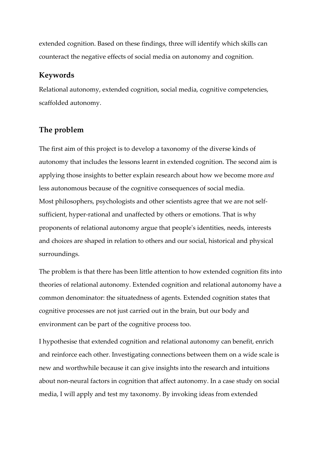extended cognition. Based on these findings, three will identify which skills can counteract the negative effects of social media on autonomy and cognition.

#### **Keywords**

Relational autonomy, extended cognition, social media, cognitive competencies, scaffolded autonomy.

#### **The problem**

The first aim of this project is to develop a taxonomy of the diverse kinds of autonomy that includes the lessons learnt in extended cognition. The second aim is applying those insights to better explain research about how we become more *and* less autonomous because of the cognitive consequences of social media. Most philosophers, psychologists and other scientists agree that we are not selfsufficient, hyper-rational and unaffected by others or emotions. That is why proponents of relational autonomy argue that people's identities, needs, interests and choices are shaped in relation to others and our social, historical and physical surroundings.

The problem is that there has been little attention to how extended cognition fits into theories of relational autonomy. Extended cognition and relational autonomy have a common denominator: the situatedness of agents. Extended cognition states that cognitive processes are not just carried out in the brain, but our body and environment can be part of the cognitive process too.

I hypothesise that extended cognition and relational autonomy can benefit, enrich and reinforce each other. Investigating connections between them on a wide scale is new and worthwhile because it can give insights into the research and intuitions about non-neural factors in cognition that affect autonomy. In a case study on social media, I will apply and test my taxonomy. By invoking ideas from extended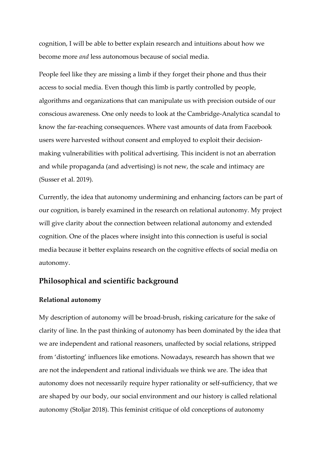cognition, I will be able to better explain research and intuitions about how we become more *and* less autonomous because of social media.

People feel like they are missing a limb if they forget their phone and thus their access to social media. Even though this limb is partly controlled by people, algorithms and organizations that can manipulate us with precision outside of our conscious awareness. One only needs to look at the Cambridge-Analytica scandal to know the far-reaching consequences. Where vast amounts of data from Facebook users were harvested without consent and employed to exploit their decisionmaking vulnerabilities with political advertising. This incident is not an aberration and while propaganda (and advertising) is not new, the scale and intimacy are [\(Susser](https://papers.ssrn.com/sol3/papers.cfm?abstract_id=3420747) et al. 2019).

Currently, the idea that autonomy undermining and enhancing factors can be part of our cognition, is barely examined in the research on relational autonomy. My project will give clarity about the connection between relational autonomy and extended cognition. One of the places where insight into this connection is useful is social media because it better explains research on the cognitive effects of social media on autonomy.

#### **Philosophical and scientific background**

#### **Relational autonomy**

My description of autonomy will be broad-brush, risking caricature for the sake of clarity of line. In the past thinking of autonomy has been dominated by the idea that we are independent and rational reasoners, unaffected by social relations, stripped from 'distorting' influences like emotions. Nowadays, research has shown that we are not the independent and rational individuals we think we are. The idea that autonomy does not necessarily require hyper rationality or self-sufficiency, that we are shaped by our body, our social environment and our history is called relational autonomy (Stoljar 2018). This feminist critique of old conceptions of autonomy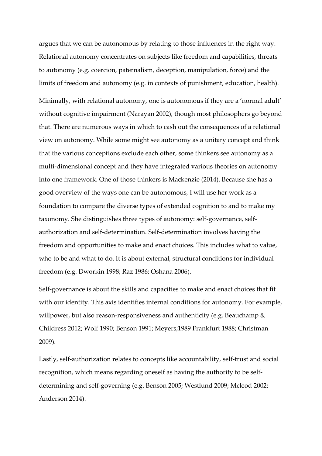argues that we can be autonomous by relating to those influences in the right way. Relational autonomy concentrates on subjects like freedom and capabilities, threats to autonomy (e.g. coercion, paternalism, deception, manipulation, force) and the limits of freedom and autonomy (e.g. in contexts of punishment, education, health).

Minimally, with relational autonomy, one is autonomous if they are a 'normal adult' without cognitive impairment (Narayan 2002), though most philosophers go beyond that. There are numerous ways in which to cash out the consequences of a relational view on autonomy. While some might see autonomy as a unitary concept and think that the various conceptions exclude each other, some thinkers see autonomy as a multi-dimensional concept and they have integrated various theories on autonomy into one framework. One of those thinkers is Mackenzie (2014). Because she has a good overview of the ways one can be autonomous, I will use her work as a foundation to compare the diverse types of extended cognition to and to make my taxonomy. She distinguishes three types of autonomy: self-governance, selfauthorization and self-determination. Self-determination involves having the freedom and opportunities to make and enact choices. This includes what to value, who to be and what to do. It is about external, structural conditions for individual freedom (e.g. Dworkin 1998; Raz 1986; Oshana 2006).

Self-governance is about the skills and capacities to make and enact choices that fit with our identity. This axis identifies internal conditions for autonomy. For example, willpower, but also reason-responsiveness and authenticity (e.g. Beauchamp & Childress 2012; Wolf 1990; Benson 1991; Meyers;1989 Frankfurt 1988; Christman 2009).

Lastly, self-authorization relates to concepts like accountability, self-trust and social recognition, which means regarding oneself as having the authority to be selfdetermining and self-governing (e.g. Benson 2005; Westlund 2009; Mcleod 2002; Anderson 2014).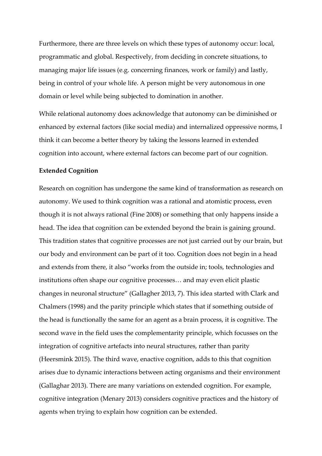Furthermore, there are three levels on which these types of autonomy occur: local, programmatic and global. Respectively, from deciding in concrete situations, to managing major life issues (e.g. concerning finances, work or family) and lastly, being in control of your whole life. A person might be very autonomous in one domain or level while being subjected to domination in another.

While relational autonomy does acknowledge that autonomy can be diminished or enhanced by external factors (like social media) and internalized oppressive norms, I think it can become a better theory by taking the lessons learned in extended cognition into account, where external factors can become part of our cognition.

#### **Extended Cognition**

Research on cognition has undergone the same kind of transformation as research on autonomy. We used to think cognition was a rational and atomistic process, even though it is not always rational (Fine 2008) or something that only happens inside a head. The idea that cognition can be extended beyond the brain is gaining ground. This tradition states that cognitive processes are not just carried out by our brain, but our body and environment can be part of it too. Cognition does not begin in a head and extends from there, it also "works from the outside in; tools, technologies and institutions often shape our cognitive processes… and may even elicit plastic changes in neuronal structure" (Gallagher 2013, 7). This idea started with Clark and Chalmers (1998) and the parity principle which states that if something outside of the head is functionally the same for an agent as a brain process, it is cognitive. The second wave in the field uses the complementarity principle, which focusses on the integration of cognitive artefacts into neural structures, rather than parity (Heersmink 2015). The third wave, enactive cognition, adds to this that cognition arises due to dynamic interactions between acting organisms and their environment (Gallaghar 2013). There are many variations on extended cognition. For example, cognitive integration (Menary 2013) considers cognitive practices and the history of agents when trying to explain how cognition can be extended.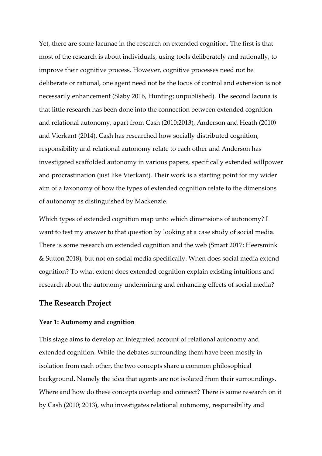Yet, there are some lacunae in the research on extended cognition. The first is that most of the research is about individuals, using tools deliberately and rationally, to improve their cognitive process. However, cognitive processes need not be deliberate or rational, one agent need not be the locus of control and extension is not necessarily enhancement (Slaby 2016, Hunting; unpublished). The second lacuna is that little research has been done into the connection between extended cognition and relational autonomy, apart from Cash (2010;2013), Anderson and Heath (2010**)** and Vierkant (2014). Cash has researched how socially distributed cognition, responsibility and relational autonomy relate to each other and Anderson has investigated scaffolded autonomy in various papers, specifically extended willpower and procrastination (just like Vierkant). Their work is a starting point for my wider aim of a taxonomy of how the types of extended cognition relate to the dimensions of autonomy as distinguished by Mackenzie.

Which types of extended cognition map unto which dimensions of autonomy? I want to test my answer to that question by looking at a case study of social media. There is some research on extended cognition and the web (Smart 2017; Heersmink & Sutton 2018), but not on social media specifically. When does social media extend cognition? To what extent does extended cognition explain existing intuitions and research about the autonomy undermining and enhancing effects of social media?

#### **The Research Project**

#### **Year 1: Autonomy and cognition**

This stage aims to develop an integrated account of relational autonomy and extended cognition. While the debates surrounding them have been mostly in isolation from each other, the two concepts share a common philosophical background. Namely the idea that agents are not isolated from their surroundings. Where and how do these concepts overlap and connect? There is some research on it by Cash (2010; 2013), who investigates relational autonomy, responsibility and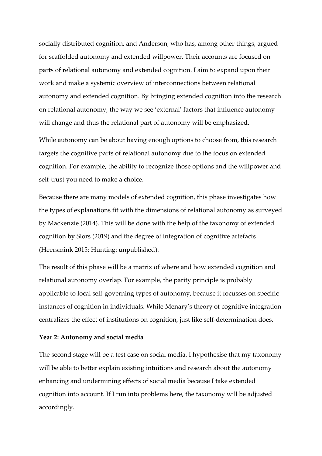socially distributed cognition, and Anderson, who has, among other things, argued for scaffolded autonomy and extended willpower. Their accounts are focused on parts of relational autonomy and extended cognition. I aim to expand upon their work and make a systemic overview of interconnections between relational autonomy and extended cognition. By bringing extended cognition into the research on relational autonomy, the way we see 'external' factors that influence autonomy will change and thus the relational part of autonomy will be emphasized.

While autonomy can be about having enough options to choose from, this research targets the cognitive parts of relational autonomy due to the focus on extended cognition. For example, the ability to recognize those options and the willpower and self-trust you need to make a choice.

Because there are many models of extended cognition, this phase investigates how the types of explanations fit with the dimensions of relational autonomy as surveyed by Mackenzie (2014). This will be done with the help of the taxonomy of extended cognition by Slors (2019) and the degree of integration of cognitive artefacts (Heersmink 2015; Hunting: unpublished).

The result of this phase will be a matrix of where and how extended cognition and relational autonomy overlap. For example, the parity principle is probably applicable to local self-governing types of autonomy, because it focusses on specific instances of cognition in individuals. While Menary's theory of cognitive integration centralizes the effect of institutions on cognition, just like self-determination does.

#### **Year 2: Autonomy and social media**

The second stage will be a test case on social media. I hypothesise that my taxonomy will be able to better explain existing intuitions and research about the autonomy enhancing and undermining effects of social media because I take extended cognition into account. If I run into problems here, the taxonomy will be adjusted accordingly.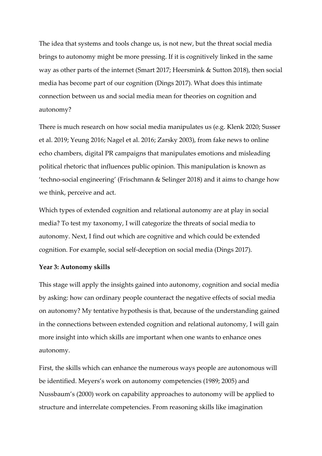The idea that systems and tools change us, is not new, but the threat social media brings to autonomy might be more pressing. If it is cognitively linked in the same way as other parts of the internet (Smart 2017; Heersmink & Sutton 2018), then social media has become part of our cognition (Dings 2017). What does this intimate connection between us and social media mean for theories on cognition and autonomy?

There is much research on how social media manipulates us (e.g. Klenk 2020; Susser et al. 2019; Yeung 2016; Nagel et al. 2016; Zarsky 2003), from fake news to online echo chambers, digital PR campaigns that manipulates emotions and misleading political rhetoric that influences public opinion. This manipulation is known as 'techno-social engineering' (Frischmann & Selinger 2018) and it aims to change how we think, perceive and act.

Which types of extended cognition and relational autonomy are at play in social media? To test my taxonomy, I will categorize the threats of social media to autonomy. Next, I find out which are cognitive and which could be extended cognition. For example, social self-deception on social media (Dings 2017).

#### **Year 3: Autonomy skills**

This stage will apply the insights gained into autonomy, cognition and social media by asking: how can ordinary people counteract the negative effects of social media on autonomy? My tentative hypothesis is that, because of the understanding gained in the connections between extended cognition and relational autonomy, I will gain more insight into which skills are important when one wants to enhance ones autonomy.

First, the skills which can enhance the numerous ways people are autonomous will be identified. Meyers's work on autonomy competencies (1989; 2005) and Nussbaum's (2000) work on capability approaches to autonomy will be applied to structure and interrelate competencies. From reasoning skills like imagination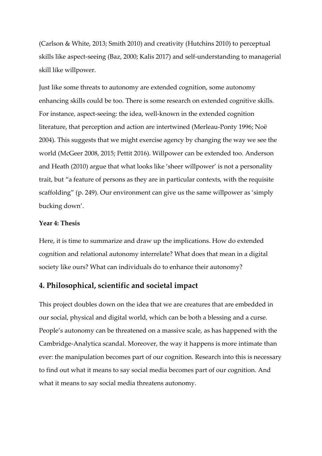(Carlson & White, 2013; Smith 2010) and creativity (Hutchins 2010) to perceptual skills like aspect-seeing (Baz, 2000; Kalis 2017) and self-understanding to managerial skill like willpower.

Just like some threats to autonomy are extended cognition, some autonomy enhancing skills could be too. There is some research on extended cognitive skills. For instance, aspect-seeing: the idea, well-known in the extended cognition literature, that perception and action are intertwined (Merleau-Ponty 1996; Noë 2004). This suggests that we might exercise agency by changing the way we see the world (McGeer 2008, 2015; Pettit 2016). Willpower can be extended too. Anderson and Heath (2010) argue that what looks like 'sheer willpower' is not a personality trait, but "a feature of persons as they are in particular contexts, with the requisite scaffolding" (p. 249). Our environment can give us the same willpower as 'simply bucking down'.

#### **Year 4: Thesis**

Here, it is time to summarize and draw up the implications. How do extended cognition and relational autonomy interrelate? What does that mean in a digital society like ours? What can individuals do to enhance their autonomy?

#### **4. Philosophical, scientific and societal impact**

This project doubles down on the idea that we are creatures that are embedded in our social, physical and digital world, which can be both a blessing and a curse. People's autonomy can be threatened on a massive scale, as has happened with the Cambridge-Analytica scandal. Moreover, the way it happens is more intimate than ever: the manipulation becomes part of our cognition. Research into this is necessary to find out what it means to say social media becomes part of our cognition. And what it means to say social media threatens autonomy.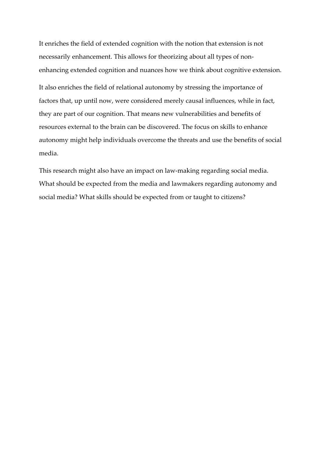It enriches the field of extended cognition with the notion that extension is not necessarily enhancement. This allows for theorizing about all types of nonenhancing extended cognition and nuances how we think about cognitive extension. It also enriches the field of relational autonomy by stressing the importance of factors that, up until now, were considered merely causal influences, while in fact, they are part of our cognition. That means new vulnerabilities and benefits of resources external to the brain can be discovered. The focus on skills to enhance autonomy might help individuals overcome the threats and use the benefits of social media.

This research might also have an impact on law-making regarding social media. What should be expected from the media and lawmakers regarding autonomy and social media? What skills should be expected from or taught to citizens?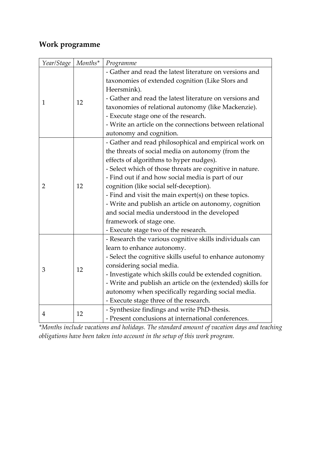## **Work programme**

| Year/Stage   | $\mathit{Monthly}^*$ | Programme                                                   |
|--------------|----------------------|-------------------------------------------------------------|
| $\mathbf{1}$ | 12                   | - Gather and read the latest literature on versions and     |
|              |                      | taxonomies of extended cognition (Like Slors and            |
|              |                      | Heersmink).                                                 |
|              |                      | - Gather and read the latest literature on versions and     |
|              |                      | taxonomies of relational autonomy (like Mackenzie).         |
|              |                      | - Execute stage one of the research.                        |
|              |                      | - Write an article on the connections between relational    |
|              |                      | autonomy and cognition.                                     |
| 2            | 12                   | - Gather and read philosophical and empirical work on       |
|              |                      | the threats of social media on autonomy (from the           |
|              |                      | effects of algorithms to hyper nudges).                     |
|              |                      | - Select which of those threats are cognitive in nature.    |
|              |                      | - Find out if and how social media is part of our           |
|              |                      | cognition (like social self-deception).                     |
|              |                      | - Find and visit the main expert(s) on these topics.        |
|              |                      | - Write and publish an article on autonomy, cognition       |
|              |                      | and social media understood in the developed                |
|              |                      | framework of stage one.                                     |
|              |                      | - Execute stage two of the research.                        |
| 3            | 12                   | - Research the various cognitive skills individuals can     |
|              |                      | learn to enhance autonomy.                                  |
|              |                      | - Select the cognitive skills useful to enhance autonomy    |
|              |                      | considering social media.                                   |
|              |                      | - Investigate which skills could be extended cognition.     |
|              |                      | - Write and publish an article on the (extended) skills for |
|              |                      | autonomy when specifically regarding social media.          |
|              |                      | - Execute stage three of the research.                      |
| 4            | 12                   | - Synthesize findings and write PhD-thesis.                 |
|              |                      | - Present conclusions at international conferences.         |

*\*Months include vacations and holidays. The standard amount of vacation days and teaching obligations have been taken into account in the setup of this work program.*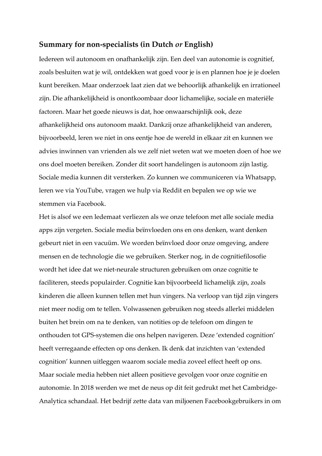#### **Summary for non-specialists (in Dutch** *or* **English)**

Iedereen wil autonoom en onafhankelijk zijn. Een deel van autonomie is cognitief, zoals besluiten wat je wil, ontdekken wat goed voor je is en plannen hoe je je doelen kunt bereiken. Maar onderzoek laat zien dat we behoorlijk afhankelijk en irrationeel zijn. Die afhankelijkheid is onontkoombaar door lichamelijke, sociale en materiële factoren. Maar het goede nieuws is dat, hoe onwaarschijnlijk ook, deze afhankelijkheid ons autonoom maakt. Dankzij onze afhankelijkheid van anderen, bijvoorbeeld, leren we niet in ons eentje hoe de wereld in elkaar zit en kunnen we advies inwinnen van vrienden als we zelf niet weten wat we moeten doen of hoe we ons doel moeten bereiken. Zonder dit soort handelingen is autonoom zijn lastig. Sociale media kunnen dit versterken. Zo kunnen we communiceren via Whatsapp, leren we via YouTube, vragen we hulp via Reddit en bepalen we op wie we stemmen via Facebook.

Het is alsof we een ledemaat verliezen als we onze telefoon met alle sociale media apps zijn vergeten. Sociale media beïnvloeden ons en ons denken, want denken gebeurt niet in een vacuüm. We worden beïnvloed door onze omgeving, andere mensen en de technologie die we gebruiken. Sterker nog, in de cognitiefilosofie wordt het idee dat we niet-neurale structuren gebruiken om onze cognitie te faciliteren, steeds populairder. Cognitie kan bijvoorbeeld lichamelijk zijn, zoals kinderen die alleen kunnen tellen met hun vingers. Na verloop van tijd zijn vingers niet meer nodig om te tellen. Volwassenen gebruiken nog steeds allerlei middelen buiten het brein om na te denken, van notities op de telefoon om dingen te onthouden tot GPS-systemen die ons helpen navigeren. Deze 'extended cognition' heeft verregaande effecten op ons denken. Ik denk dat inzichten van 'extended cognition' kunnen uitleggen waarom sociale media zoveel effect heeft op ons. Maar sociale media hebben niet alleen positieve gevolgen voor onze cognitie en autonomie. In 2018 werden we met de neus op dit feit gedrukt met het Cambridge-Analytica schandaal. Het bedrijf zette data van miljoenen Facebookgebruikers in om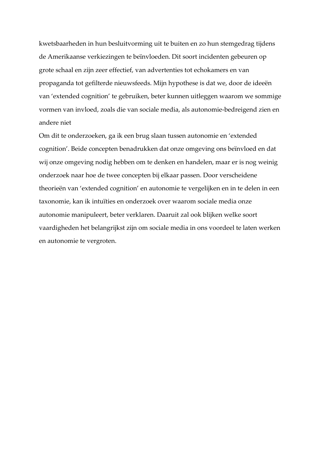kwetsbaarheden in hun besluitvorming uit te buiten en zo hun stemgedrag tijdens de Amerikaanse verkiezingen te beïnvloeden. Dit soort incidenten gebeuren op grote schaal en zijn zeer effectief, van advertenties tot echokamers en van propaganda tot gefilterde nieuwsfeeds. Mijn hypothese is dat we, door de ideeën van 'extended cognition' te gebruiken, beter kunnen uitleggen waarom we sommige vormen van invloed, zoals die van sociale media, als autonomie-bedreigend zien en andere niet

Om dit te onderzoeken, ga ik een brug slaan tussen autonomie en 'extended cognition'. Beide concepten benadrukken dat onze omgeving ons beïnvloed en dat wij onze omgeving nodig hebben om te denken en handelen, maar er is nog weinig onderzoek naar hoe de twee concepten bij elkaar passen. Door verscheidene theorieën van 'extended cognition' en autonomie te vergelijken en in te delen in een taxonomie, kan ik intuïties en onderzoek over waarom sociale media onze autonomie manipuleert, beter verklaren. Daaruit zal ook blijken welke soort vaardigheden het belangrijkst zijn om sociale media in ons voordeel te laten werken en autonomie te vergroten.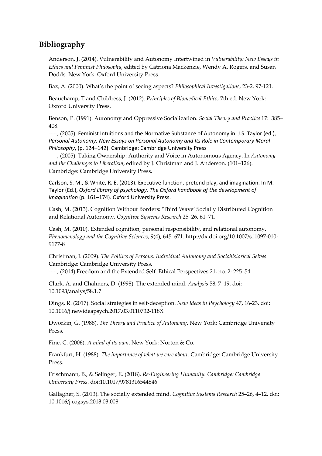### **Bibliography**

Anderson, J. (2014). Vulnerability and Autonomy Intertwined in *Vulnerability: New Essays in Ethics and Feminist Philosophy*, edited by Catriona Mackenzie, Wendy A. Rogers, and Susan Dodds. New York: Oxford University Press.

Baz, A. (2000). What's the point of seeing aspects? *Philosophical Investigations*, 23-2, 97-121.

Beauchamp, T and Childress, J. (2012). *Principles of Biomedical Ethics*, 7th ed. New York: Oxford University Press.

Benson, P. (1991). Autonomy and Oppressive Socialization. *Social Theory and Practice* 17: 385– 408.

–––, (2005). Feminist Intuitions and the Normative Substance of Autonomy in: J.S. Taylor (ed.), *Personal Autonomy: New Essays on Personal Autonomy and Its Role in Contemporary Moral Philosophy*, (p. 124–142). Cambridge: Cambridge University Press

–––, (2005). Taking Ownership: Authority and Voice in Autonomous Agency. In *Autonomy and the Challenges to Liberalism*, edited by J. Christman and J. Anderson. (101–126). Cambridge: Cambridge University Press.

Carlson, S. M., & White, R. E. (2013). Executive function, pretend play, and imagination. In M. Taylor (Ed.), *Oxford library of psychology. The Oxford handbook of the development of imagination* (p. 161–174). Oxford University Press.

Cash, M. (2013). Cognition Without Borders: 'Third Wave' Socially Distributed Cognition and Relational Autonomy. *Cognitive Systems Research* 25–26, 61–71.

Cash, M. (2010). Extended cognition, personal responsibility, and relational autonomy. *Phenomenology and the Cognitive Sciences*, 9(4), 645–671. [http://dx.doi.org/10.1007/s11097-010-](http://dx.doi.org/10.1007/s11097-010-9177-8) [9177-8](http://dx.doi.org/10.1007/s11097-010-9177-8)

Christman, J. (2009). *The Politics of Persons: Individual Autonomy and Sociohistorical Selves*. Cambridge: Cambridge University Press.

–––, (2014) Freedom and the Extended Self. Ethical Perspectives 21, no. 2: 225–54.

Clark, A. and Chalmers, D. (1998). The extended mind. *Analysis* 58, 7–19. doi: 10.1093/analys/58.1.7

Dings, R. (2017). Social strategies in self-deception. *New Ideas in Psychology* 47, 16-23. [doi:](http://dx.doi.org/10.1016/j.newideapsych.2017.03.0110732-118X) [10.1016/j.newideapsych.2017.03.0110732-118X](http://dx.doi.org/10.1016/j.newideapsych.2017.03.0110732-118X)

Dworkin, G. (1988). *The Theory and Practice of Autonomy*. New York: Cambridge University Press.

Fine, C. (2006). *A mind of its own*. New York: Norton & Co.

Frankfurt, H. (1988). *The importance of what we care about*. Cambridge: Cambridge University Press.

Frischmann, B., & Selinger, E. (2018). *Re-Engineering Humanity. Cambridge: Cambridge University Press*. doi:10.1017/9781316544846

Gallagher, S. (2013). The socially extended mind. *Cognitive Systems Research* 25–26, 4–12. doi: 10.1016/j.cogsys.2013.03.008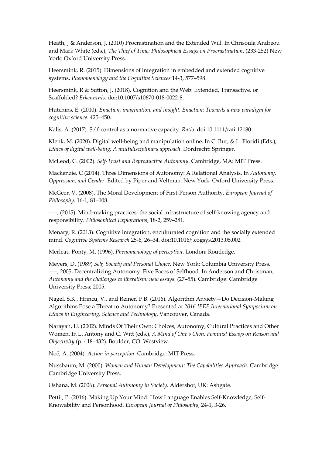Heath, J & Anderson, J. (2010) Procrastination and the Extended Will*.* In Chrisoula Andreou and Mark White (eds.), *The Thief of Time: Philosophical Essays on Procrastination*. (233-252) New York: Oxford University Press.

Heersmink, R. (2015). Dimensions of integration in embedded and extended cognitive systems. *Phenomenology and the Cognitive Sciences* 14-3, 577–598.

Heersmink, R & Sutton, J. (2018). Cognition and the Web: Extended, Transactive, or Scaffolded? *Erkenntnis*. doi:10.1007/s10670-018-0022-8.

Hutchins, E. (2010). *Enaction, imagination, and insight. Enaction: Towards a new paradigm for cognitive science*. 425–450.

Kalis, A. (2017). Self-control as a normative capacity. *Ratio*. doi:10.1111/rati.12180

Klenk, M. (2020). Digital well-being and manipulation online. In C. Bur, & L. Floridi (Eds.), *Ethics of digital well-being: A multidisciplinary approach*. Dordrecht: Springer.

McLeod, C. (2002). *Self-Trust and Reproductive Autonomy*. Cambridge, MA: MIT Press.

Mackenzie, C (2014). Three Dimensions of Autonomy: A Relational Analysis. In *Autonomy, Oppression, and Gender.* Edited by Piper and Veltman, New York: Oxford University Press.

McGeer, V. (2008). The Moral Development of First-Person Authority. *European Journal of Philosophy*. 16-1, 81–108.

–––, (2015). Mind-making practices: the social infrastructure of self-knowing agency and responsibility. *Philosophical Explorations*, 18-2, 259–281.

Menary, R. (2013). Cognitive integration, enculturated cognition and the socially extended mind. *Cognitive Systems Research* 25-6, 26–34. doi:10.1016/j.cogsys.2013.05.002

Merleau-Ponty, M. (1996). *Phenomenology of perception*. London: Routledge.

Meyers, D. (1989) *Self, Society and Personal Choice*. New York: Columbia University Press. –––, 2005, Decentralizing Autonomy. Five Faces of Selfhood. In Anderson and Christman, *Autonomy and the challenges to liberalism: new essays.* (27–55). Cambridge: Cambridge University Press; 2005.

Nagel, S.K., Hrincu, V., and Reiner, P.B. (2016). Algorithm Anxiety—Do Decision-Making Algorithms Pose a Threat to Autonomy? Presented at *2016 IEEE International Symposium on Ethics in Engineering, Science and Technology*, Vancouver, Canada.

Narayan, U. (2002). Minds Of Their Own: Choices, Autonomy, Cultural Practices and Other Women. In L. Antony and C. Witt (eds.), *A Mind of One's Own. Feminist Essays on Reason and Objectivity (*p. 418–432)*.* Boulder, CO: Westview.

Noë, A. (2004). *Action in perception*. Cambridge: MIT Press.

Nussbaum, M. (2000). *Women and Human Development: The Capabilities Approach.* Cambridge: Cambridge University Press.

Oshana, M. (2006). *Personal Autonomy in Society*. Aldershot, UK: Ashgate.

Pettit, P. (2016). Making Up Your Mind: How Language Enables Self-Knowledge, Self-Knowability and Personhood*. European Journal of Philosophy*, 24-1, 3-26.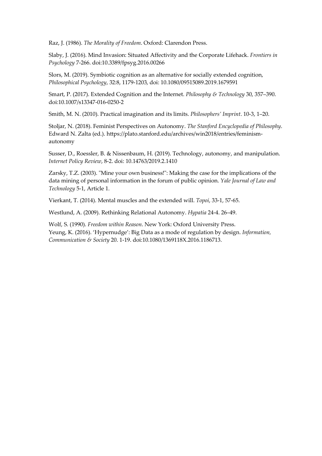Raz, J. (1986). *The Morality of Freedom*. Oxford: Clarendon Press.

Slaby, J. (2016). Mind Invasion: Situated Affectivity and the Corporate Lifehack. *Frontiers in Psychology* 7-266. doi:10.3389/fpsyg.2016.00266

Slors, M. (2019). Symbiotic cognition as an alternative for socially extended cognition, *Philosophical Psychology*, 32:8, 1179-1203, doi: 10.1080/09515089.2019.1679591

Smart, P. (2017). Extended Cognition and the Internet. *Philosophy & Technology* 30, 357–390. doi:10.1007/s13347-016-0250-2

Smith, M. N. (2010). Practical imagination and its limits. *Philosophers' Imprint*. 10-3, 1–20.

Stoljar, N. (2018). Feminist Perspectives on Autonomy. *The Stanford Encyclopedia of Philosophy*. Edward N. Zalta (ed.). https://plato.stanford.edu/archives/win2018/entries/feminismautonomy

Susser, D., Roessler, B. & Nissenbaum, H. (2019). Technology, autonomy, and manipulation. *Internet Policy Review*, 8-2. doi: 10.14763/2019.2.1410

Zarsky, T.Z. (2003). "Mine your own business!": Making the case for the implications of the data mining of personal information in the forum of public opinion. *Yale Journal of Law and Technology* 5-1, Article 1.

Vierkant, T. (2014). Mental muscles and the extended will. *Topoi*, 33-1, 57-65.

Westlund, A. (2009). Rethinking Relational Autonomy. *Hypatia* 24-4. 26–49.

Wolf, S. (1990). *Freedom within Reason*. New York: Oxford University Press. Yeung, K. (2016). 'Hypernudge': Big Data as a mode of regulation by design. *Information, Communication & Society* 20. 1-19. doi:10.1080/1369118X.2016.1186713.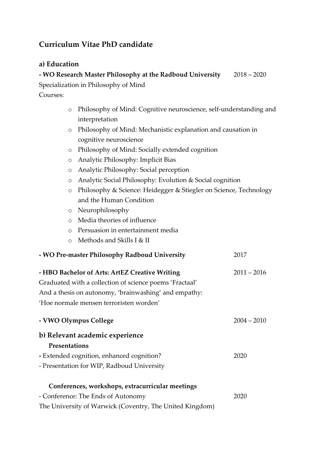## **Curriculum Vitae PhD candidate**

#### **a) Education**

| - WO Research Master Philosophy at the Radboud University | $2018 - 2020$ |
|-----------------------------------------------------------|---------------|
| Specialization in Philosophy of Mind                      |               |
| Courses:                                                  |               |

- o Philosophy of Mind: Cognitive neuroscience, self-understanding and interpretation
- o Philosophy of Mind: Mechanistic explanation and causation in cognitive neuroscience
- o Philosophy of Mind: Socially extended cognition
- o Analytic Philosophy: Implicit Bias
- o Analytic Philosophy: Social perception
- o Analytic Social Philosophy: Evolution & Social cognition
- o Philosophy & Science: Heidegger & Stiegler on Science, Technology and the Human Condition
- o Neurophilosophy
- o Media theories of influence
- o Persuasion in entertainment media
- o Methods and Skills I & II

| - WO Pre-master Philosophy Radboud University            | 2017          |
|----------------------------------------------------------|---------------|
| - HBO Bachelor of Arts: ArtEZ Creative Writing           | $2011 - 2016$ |
| Graduated with a collection of science poems 'Fractaal'  |               |
| And a thesis on autonomy, 'brainwashing' and empathy:    |               |
| 'Hoe normale mensen terroristen worden'                  |               |
| - VWO Olympus College                                    | $2004 - 2010$ |
| b) Relevant academic experience                          |               |
| Presentations                                            |               |
| - Extended cognition, enhanced cognition?                | 2020          |
| - Presentation for WIP, Radboud University               |               |
| Conferences, workshops, extracurricular meetings         |               |
| - Conference: The Ends of Autonomy                       | 2020          |
| The University of Warwick (Coventry, The United Kingdom) |               |